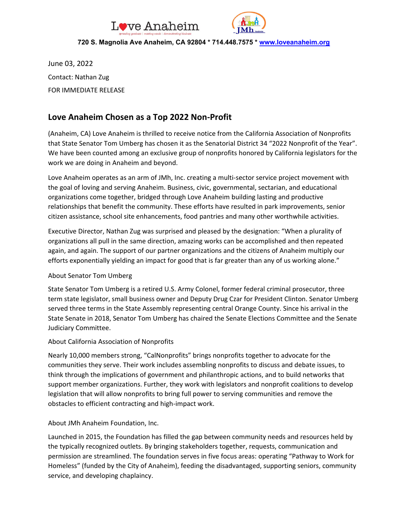



#### **720 S. Magnolia Ave Anaheim, CA 92804 \* 714.448.7575 \* [www.loveanaheim.org](http://www.loveanaheim.org/)**

June 03, 2022 Contact: Nathan Zug FOR IMMEDIATE RELEASE

### **Love Anaheim Chosen as a Top 2022 Non-Profit**

(Anaheim, CA) Love Anaheim is thrilled to receive notice from the California Association of Nonprofits that State Senator Tom Umberg has chosen it as the Senatorial District 34 "2022 Nonprofit of the Year". We have been counted among an exclusive group of nonprofits honored by California legislators for the work we are doing in Anaheim and beyond.

Love Anaheim operates as an arm of JMh, Inc. creating a multi-sector service project movement with the goal of loving and serving Anaheim. Business, civic, governmental, sectarian, and educational organizations come together, bridged through Love Anaheim building lasting and productive relationships that benefit the community. These efforts have resulted in park improvements, senior citizen assistance, school site enhancements, food pantries and many other worthwhile activities.

Executive Director, Nathan Zug was surprised and pleased by the designation: "When a plurality of organizations all pull in the same direction, amazing works can be accomplished and then repeated again, and again. The support of our partner organizations and the citizens of Anaheim multiply our efforts exponentially yielding an impact for good that is far greater than any of us working alone."

#### About Senator Tom Umberg

State Senator Tom Umberg is a retired U.S. Army Colonel, former federal criminal prosecutor, three term state legislator, small business owner and Deputy Drug Czar for President Clinton. Senator Umberg served three terms in the State Assembly representing central Orange County. Since his arrival in the State Senate in 2018, Senator Tom Umberg has chaired the Senate Elections Committee and the Senate Judiciary Committee.

#### About California Association of Nonprofits

Nearly 10,000 members strong, "CalNonprofits" brings nonprofits together to advocate for the communities they serve. Their work includes assembling nonprofits to discuss and debate issues, to think through the implications of government and philanthropic actions, and to build networks that support member organizations. Further, they work with legislators and nonprofit coalitions to develop legislation that will allow nonprofits to bring full power to serving communities and remove the obstacles to efficient contracting and high-impact work.

#### About JMh Anaheim Foundation, Inc.

Launched in 2015, the Foundation has filled the gap between community needs and resources held by the typically recognized outlets. By bringing stakeholders together, requests, communication and permission are streamlined. The foundation serves in five focus areas: operating "Pathway to Work for Homeless" (funded by the City of Anaheim), feeding the disadvantaged, supporting seniors, community service, and developing chaplaincy.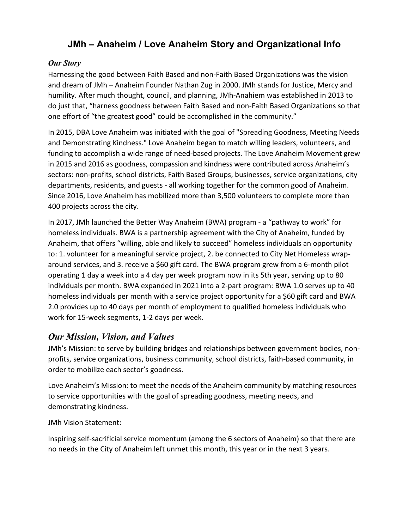# **JMh – Anaheim / Love Anaheim Story and Organizational Info**

### *Our Story*

Harnessing the good between Faith Based and non-Faith Based Organizations was the vision and dream of JMh – Anaheim Founder Nathan Zug in 2000. JMh stands for Justice, Mercy and humility. After much thought, council, and planning, JMh-Anahiem was established in 2013 to do just that, "harness goodness between Faith Based and non-Faith Based Organizations so that one effort of "the greatest good" could be accomplished in the community."

In 2015, DBA Love Anaheim was initiated with the goal of "Spreading Goodness, Meeting Needs and Demonstrating Kindness." Love Anaheim began to match willing leaders, volunteers, and funding to accomplish a wide range of need-based projects. The Love Anaheim Movement grew in 2015 and 2016 as goodness, compassion and kindness were contributed across Anaheim's sectors: non-profits, school districts, Faith Based Groups, businesses, service organizations, city departments, residents, and guests - all working together for the common good of Anaheim. Since 2016, Love Anaheim has mobilized more than 3,500 volunteers to complete more than 400 projects across the city.

In 2017, JMh launched the Better Way Anaheim (BWA) program - a "pathway to work" for homeless individuals. BWA is a partnership agreement with the City of Anaheim, funded by Anaheim, that offers "willing, able and likely to succeed" homeless individuals an opportunity to: 1. volunteer for a meaningful service project, 2. be connected to City Net Homeless wraparound services, and 3. receive a \$60 gift card. The BWA program grew from a 6-month pilot operating 1 day a week into a 4 day per week program now in its 5th year, serving up to 80 individuals per month. BWA expanded in 2021 into a 2-part program: BWA 1.0 serves up to 40 homeless individuals per month with a service project opportunity for a \$60 gift card and BWA 2.0 provides up to 40 days per month of employment to qualified homeless individuals who work for 15-week segments, 1-2 days per week.

## *Our Mission, Vision, and Values*

JMh's Mission: to serve by building bridges and relationships between government bodies, nonprofits, service organizations, business community, school districts, faith-based community, in order to mobilize each sector's goodness.

Love Anaheim's Mission: to meet the needs of the Anaheim community by matching resources to service opportunities with the goal of spreading goodness, meeting needs, and demonstrating kindness.

JMh Vision Statement:

Inspiring self-sacrificial service momentum (among the 6 sectors of Anaheim) so that there are no needs in the City of Anaheim left unmet this month, this year or in the next 3 years.